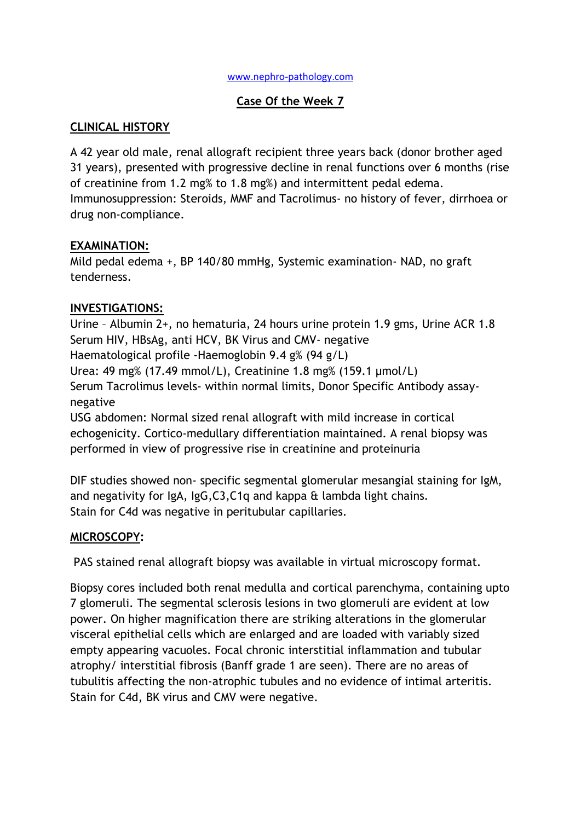#### [www.nephro-pathology.com](http://www.nephro-pathology.com/)

### **Case Of the Week 7**

### **CLINICAL HISTORY**

A 42 year old male, renal allograft recipient three years back (donor brother aged 31 years), presented with progressive decline in renal functions over 6 months (rise of creatinine from 1.2 mg% to 1.8 mg%) and intermittent pedal edema. Immunosuppression: Steroids, MMF and Tacrolimus- no history of fever, dirrhoea or drug non-compliance.

#### **EXAMINATION:**

Mild pedal edema +, BP 140/80 mmHg, Systemic examination- NAD, no graft tenderness.

### **INVESTIGATIONS:**

Urine – Albumin 2+, no hematuria, 24 hours urine protein 1.9 gms, Urine ACR 1.8 Serum HIV, HBsAg, anti HCV, BK Virus and CMV- negative Haematological profile -Haemoglobin 9.4 g% (94 g/L) Urea: 49 mg% (17.49 mmol/L), Creatinine 1.8 mg% (159.1 µmol/L) Serum Tacrolimus levels- within normal limits, Donor Specific Antibody assaynegative

USG abdomen: Normal sized renal allograft with mild increase in cortical echogenicity. Cortico-medullary differentiation maintained. A renal biopsy was performed in view of progressive rise in creatinine and proteinuria

DIF studies showed non- specific segmental glomerular mesangial staining for IgM, and negativity for IgA, IgG,C3,C1q and kappa & lambda light chains. Stain for C4d was negative in peritubular capillaries.

### **MICROSCOPY:**

PAS stained renal allograft biopsy was available in virtual microscopy format.

Biopsy cores included both renal medulla and cortical parenchyma, containing upto 7 glomeruli. The segmental sclerosis lesions in two glomeruli are evident at low power. On higher magnification there are striking alterations in the glomerular visceral epithelial cells which are enlarged and are loaded with variably sized empty appearing vacuoles. Focal chronic interstitial inflammation and tubular atrophy/ interstitial fibrosis (Banff grade 1 are seen). There are no areas of tubulitis affecting the non-atrophic tubules and no evidence of intimal arteritis. Stain for C4d, BK virus and CMV were negative.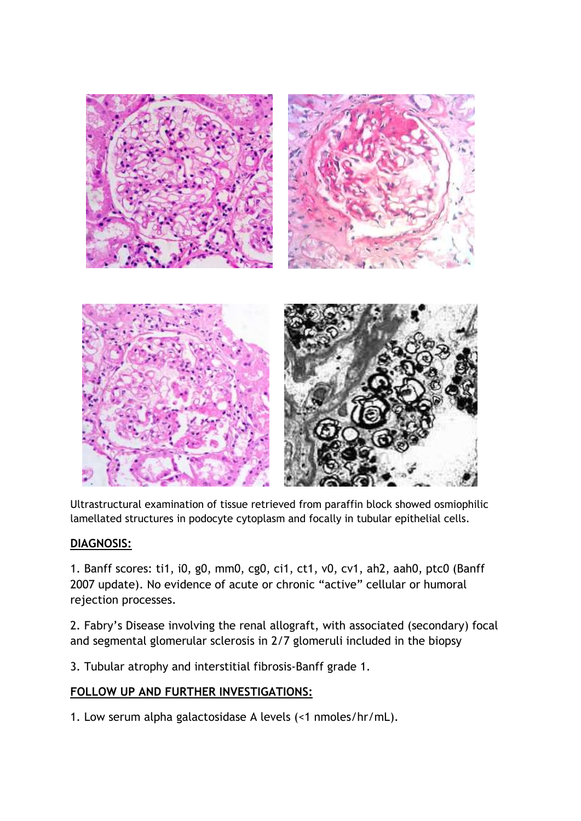

Ultrastructural examination of tissue retrieved from paraffin block showed osmiophilic lamellated structures in podocyte cytoplasm and focally in tubular epithelial cells.

### **DIAGNOSIS:**

1. Banff scores: ti1, i0, g0, mm0, cg0, ci1, ct1, v0, cv1, ah2, aah0, ptc0 (Banff 2007 update). No evidence of acute or chronic "active" cellular or humoral rejection processes.

2. Fabry's Disease involving the renal allograft, with associated (secondary) focal and segmental glomerular sclerosis in 2/7 glomeruli included in the biopsy

3. Tubular atrophy and interstitial fibrosis-Banff grade 1.

### **FOLLOW UP AND FURTHER INVESTIGATIONS:**

1. Low serum alpha galactosidase A levels (<1 nmoles/hr/mL).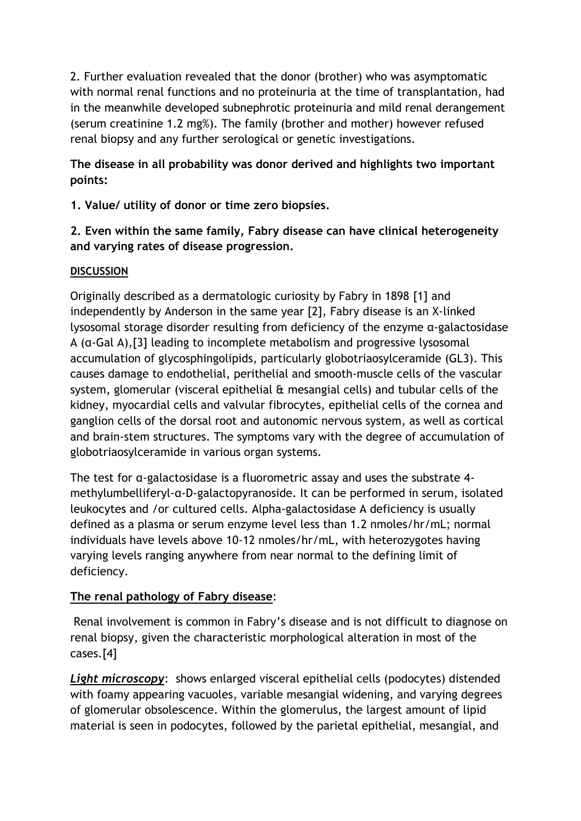2. Further evaluation revealed that the donor (brother) who was asymptomatic with normal renal functions and no proteinuria at the time of transplantation, had in the meanwhile developed subnephrotic proteinuria and mild renal derangement (serum creatinine 1.2 mg%). The family (brother and mother) however refused renal biopsy and any further serological or genetic investigations.

**The disease in all probability was donor derived and highlights two important points:**

**1. Value/ utility of donor or time zero biopsies.**

# **2. Even within the same family, Fabry disease can have clinical heterogeneity and varying rates of disease progression.**

# **DISCUSSION**

Originally described as a dermatologic curiosity by Fabry in 1898 [1] and independently by Anderson in the same year [2], Fabry disease is an X‐linked lysosomal storage disorder resulting from deficiency of the enzyme α‐galactosidase A (α‐Gal A),[3] leading to incomplete metabolism and progressive lysosomal accumulation of glycosphingolipids, particularly globotriaosylceramide (GL3). This causes damage to endothelial, perithelial and smooth‐muscle cells of the vascular system, glomerular (visceral epithelial & mesangial cells) and tubular cells of the kidney, myocardial cells and valvular fibrocytes, epithelial cells of the cornea and ganglion cells of the dorsal root and autonomic nervous system, as well as cortical and brain‐stem structures. The symptoms vary with the degree of accumulation of globotriaosylceramide in various organ systems.

The test for α‐galactosidase is a fluorometric assay and uses the substrate 4 methylumbelliferyl-α-D-galactopyranoside. It can be performed in serum, isolated leukocytes and /or cultured cells. Alpha-galactosidase A deficiency is usually defined as a plasma or serum enzyme level less than 1.2 nmoles/hr/mL; normal individuals have levels above 10-12 nmoles/hr/mL, with heterozygotes having varying levels ranging anywhere from near normal to the defining limit of deficiency.

# **The renal pathology of Fabry disease**:

Renal involvement is common in Fabry's disease and is not difficult to diagnose on renal biopsy, given the characteristic morphological alteration in most of the cases.[4]

*Light microscopy*: shows enlarged visceral epithelial cells (podocytes) distended with foamy appearing vacuoles, variable mesangial widening, and varying degrees of glomerular obsolescence. Within the glomerulus, the largest amount of lipid material is seen in podocytes, followed by the parietal epithelial, mesangial, and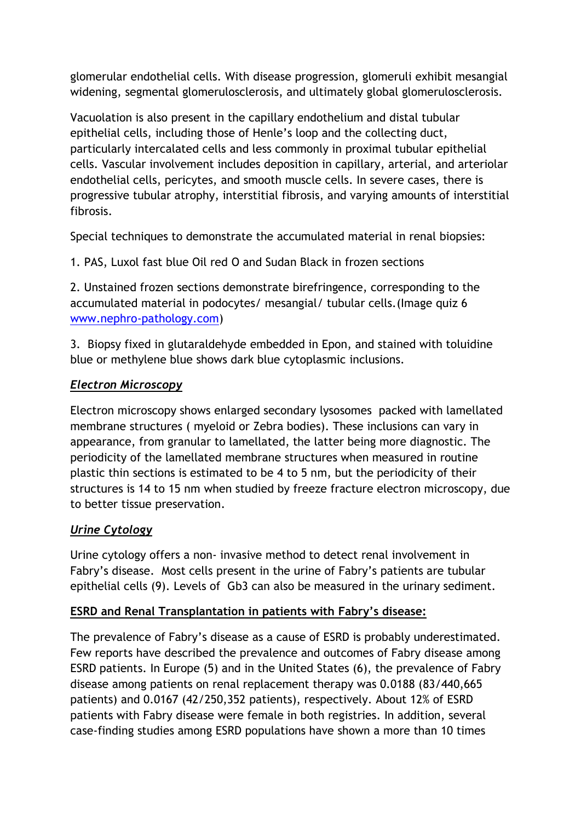glomerular endothelial cells. With disease progression, glomeruli exhibit mesangial widening, segmental glomerulosclerosis, and ultimately global glomerulosclerosis.

Vacuolation is also present in the capillary endothelium and distal tubular epithelial cells, including those of Henle's loop and the collecting duct, particularly intercalated cells and less commonly in proximal tubular epithelial cells. Vascular involvement includes deposition in capillary, arterial, and arteriolar endothelial cells, pericytes, and smooth muscle cells. In severe cases, there is progressive tubular atrophy, interstitial fibrosis, and varying amounts of interstitial fibrosis.

Special techniques to demonstrate the accumulated material in renal biopsies:

1. PAS, Luxol fast blue Oil red O and Sudan Black in frozen sections

2. Unstained frozen sections demonstrate birefringence, corresponding to the accumulated material in podocytes/ mesangial/ tubular cells.(Image quiz 6 [www.nephro-pathology.com\)](http://www.nephro-pathology.com/)

3. Biopsy fixed in glutaraldehyde embedded in Epon, and stained with toluidine blue or methylene blue shows dark blue cytoplasmic inclusions.

# *Electron Microscopy*

Electron microscopy shows enlarged secondary lysosomes packed with lamellated membrane structures ( myeloid or Zebra bodies). These inclusions can vary in appearance, from granular to lamellated, the latter being more diagnostic. The periodicity of the lamellated membrane structures when measured in routine plastic thin sections is estimated to be 4 to 5 nm, but the periodicity of their structures is 14 to 15 nm when studied by freeze fracture electron microscopy, due to better tissue preservation.

# *Urine Cytology*

Urine cytology offers a non- invasive method to detect renal involvement in Fabry's disease. Most cells present in the urine of Fabry's patients are tubular epithelial cells (9). Levels of Gb3 can also be measured in the urinary sediment.

### **ESRD and Renal Transplantation in patients with Fabry's disease:**

The prevalence of Fabry's disease as a cause of ESRD is probably underestimated. Few reports have described the prevalence and outcomes of Fabry disease among ESRD patients. In Europe (5) and in the United States (6), the prevalence of Fabry disease among patients on renal replacement therapy was 0.0188 (83/440,665 patients) and 0.0167 (42/250,352 patients), respectively. About 12% of ESRD patients with Fabry disease were female in both registries. In addition, several case-finding studies among ESRD populations have shown a more than 10 times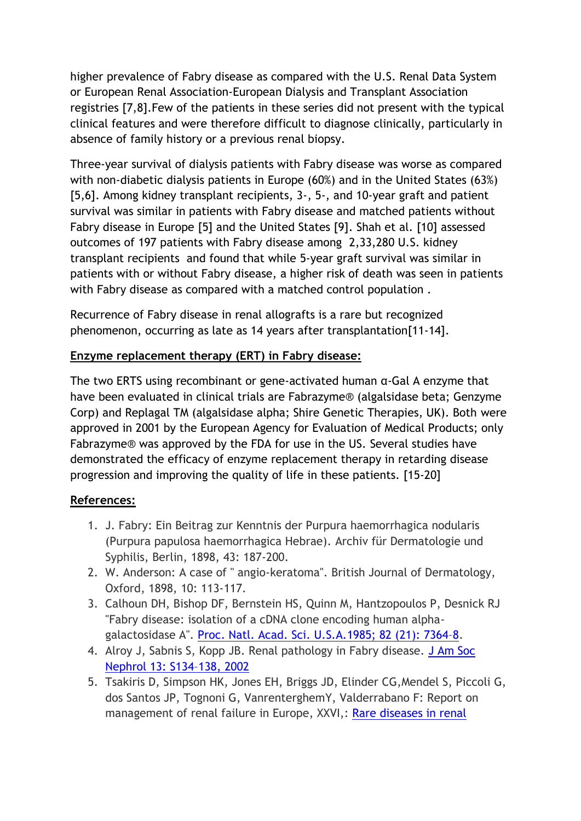higher prevalence of Fabry disease as compared with the U.S. Renal Data System or European Renal Association-European Dialysis and Transplant Association registries [7,8].Few of the patients in these series did not present with the typical clinical features and were therefore difficult to diagnose clinically, particularly in absence of family history or a previous renal biopsy.

Three-year survival of dialysis patients with Fabry disease was worse as compared with non-diabetic dialysis patients in Europe (60%) and in the United States (63%) [5,6]. Among kidney transplant recipients, 3-, 5-, and 10-year graft and patient survival was similar in patients with Fabry disease and matched patients without Fabry disease in Europe [5] and the United States [9]. Shah et al. [10] assessed outcomes of 197 patients with Fabry disease among 2,33,280 U.S. kidney transplant recipients and found that while 5-year graft survival was similar in patients with or without Fabry disease, a higher risk of death was seen in patients with Fabry disease as compared with a matched control population .

Recurrence of Fabry disease in renal allografts is a rare but recognized phenomenon, occurring as late as 14 years after transplantation[11-14].

### **Enzyme replacement therapy (ERT) in Fabry disease:**

The two ERTS using recombinant or gene-activated human α-Gal A enzyme that have been evaluated in clinical trials are Fabrazyme® (algalsidase beta; Genzyme Corp) and Replagal TM (algalsidase alpha; Shire Genetic Therapies, UK). Both were approved in 2001 by the European Agency for Evaluation of Medical Products; only Fabrazyme® was approved by the FDA for use in the US. Several studies have demonstrated the efficacy of enzyme replacement therapy in retarding disease progression and improving the quality of life in these patients. [15-20]

### **References:**

- 1. J. Fabry: Ein Beitrag zur Kenntnis der Purpura haemorrhagica nodularis (Purpura papulosa haemorrhagica Hebrae). Archiv für Dermatologie und Syphilis, Berlin, 1898, 43: 187-200.
- 2. W. Anderson: A case of " angio-keratoma". British Journal of Dermatology, Oxford, 1898, 10: 113-117.
- 3. Calhoun DH, Bishop DF, Bernstein HS, Quinn M, Hantzopoulos P, Desnick RJ "Fabry disease: isolation of a cDNA clone encoding human alphagalactosidase A". [Proc. Natl. Acad. Sci. U.S.A.1985;](http://www.ncbi.nlm.nih.gov/pubmed?term=Proc.%20Natl.%20Acad.%20Sci.%20U.S.A.1985%3B%2082%20(21)%3A%207364%E2%80%938) 82 (21): 7364–8.
- 4. Alroy J, Sabnis S, Kopp JB. Renal pathology in Fabry disease. [J Am Soc](http://jasn.asnjournals.org/content/13/suppl_2/S134.long)  [Nephrol 13: S134](http://jasn.asnjournals.org/content/13/suppl_2/S134.long)–138, 2002
- 5. Tsakiris D, Simpson HK, Jones EH, Briggs JD, Elinder CG,Mendel S, Piccoli G, dos Santos JP, Tognoni G, VanrenterghemY, Valderrabano F: Report on management of renal failure in Europe, XXVI,: [Rare diseases in renal](http://www.ncbi.nlm.nih.gov/pubmed/9067983)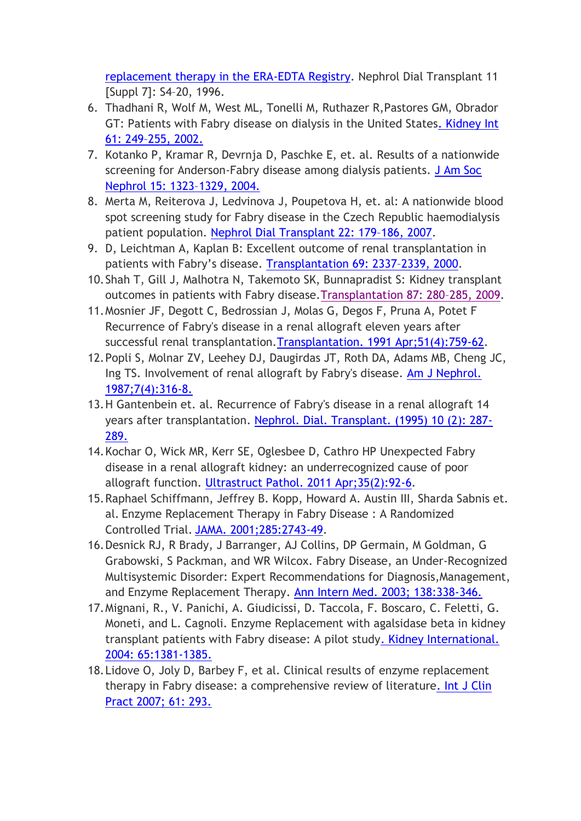[replacement therapy in the ERA-EDTA Registry.](http://www.ncbi.nlm.nih.gov/pubmed/9067983) Nephrol Dial Transplant 11 [Suppl 7]: S4–20, 1996.

- 6. Thadhani R, Wolf M, West ML, Tonelli M, Ruthazer R,Pastores GM, Obrador GT: Patients with Fabry disease on dialysis in the United State[s. Kidney Int](http://www.nature.com/ki/journal/v61/n1/full/4492726a.html)  61: 249–[255, 2002.](http://www.nature.com/ki/journal/v61/n1/full/4492726a.html)
- 7. Kotanko P, Kramar R, Devrnja D, Paschke E, et. al. Results of a nationwide screening for Anderson-Fabry disease among dialysis patients. J Am Soc [Nephrol 15: 1323](http://jasn.asnjournals.org/content/15/5/1323.long)–1329, 2004.
- 8. Merta M, Reiterova J, Ledvinova J, Poupetova H, et. al: A nationwide blood spot screening study for Fabry disease in the Czech Republic haemodialysis patient population. Nephrol Dial [Transplant 22: 179](http://ndt.oxfordjournals.org/content/22/1/179.long)–186, 2007.
- 9. D, Leichtman A, Kaplan B: Excellent outcome of renal transplantation in patients with Fabry's disease. [Transplantation](http://www.centerspan.org/pubs/transplantation/2000/0605/tr110002337p.pdf) 69: 2337–2339, 2000.
- 10.Shah T, Gill J, Malhotra N, Takemoto SK, Bunnapradist S: Kidney transplant outcomes in patients with Fabry disease[.Transplantation 87: 280](http://www.ncbi.nlm.nih.gov/pubmed?term=Transplantation%2087%3A%20280%E2%80%93285%2C%202009)–285, 2009.
- 11.Mosnier JF, Degott C, Bedrossian J, Molas G, Degos F, Pruna A, Potet F Recurrence of Fabry's disease in a renal allograft eleven years after successful renal transplantation[.Transplantation. 1991 Apr;51\(4\):759-62.](http://www.ncbi.nlm.nih.gov/pubmed?term=Transplantation.%201991%20Apr%3B51(4)%3A759-62)
- 12.Popli S, Molnar ZV, Leehey DJ, Daugirdas JT, Roth DA, Adams MB, Cheng JC, Ing TS. Involvement of renal allograft by Fabry's disease. [Am J Nephrol.](http://www.ncbi.nlm.nih.gov/pubmed?term=Am%20J%20Nephrol.%201987%3B7(4)%3A316-8.)  [1987;7\(4\):316-8.](http://www.ncbi.nlm.nih.gov/pubmed?term=Am%20J%20Nephrol.%201987%3B7(4)%3A316-8.)
- 13.H Gantenbein et. al. Recurrence of Fabry's disease in a renal allograft 14 years after transplantation. [Nephrol. Dial. Transplant. \(1995\) 10 \(2\): 287-](http://www.ncbi.nlm.nih.gov/pubmed?term=Nephrol.%20Dial.%20Transplant.%20(1995)%2010%20(2)%3A%20287-289.) [289.](http://www.ncbi.nlm.nih.gov/pubmed?term=Nephrol.%20Dial.%20Transplant.%20(1995)%2010%20(2)%3A%20287-289.)
- 14.Kochar O, Wick MR, Kerr SE, Oglesbee D, Cathro HP Unexpected Fabry disease in a renal allograft kidney: an underrecognized cause of poor allograft function. [Ultrastruct Pathol. 2011 Apr;35\(2\):92-6.](http://www.ncbi.nlm.nih.gov/pubmed/21299350)
- 15.Raphael Schiffmann, Jeffrey B. Kopp, Howard A. Austin III, Sharda Sabnis et. al. Enzyme Replacement Therapy in Fabry Disease : A Randomized Controlled Trial. [JAMA. 2001;285:2743-49.](http://jama.jamanetwork.com/article.aspx?volume=285&page=2743)
- 16.Desnick RJ, R Brady, J Barranger, AJ Collins, DP Germain, M Goldman, G Grabowski, S Packman, and WR Wilcox. Fabry Disease, an Under-Recognized Multisystemic Disorder: Expert Recommendations for Diagnosis,Management, and Enzyme Replacement Therapy. [Ann Intern Med. 2003; 138:338-346.](http://www.annals.org/content/138/4/338.long)
- 17.Mignani, R., V. Panichi, A. Giudicissi, D. Taccola, F. Boscaro, C. Feletti, G. Moneti, and L. Cagnoli. Enzyme Replacement with agalsidase beta in kidney transplant patients with Fabry disease: A pilot stud[y. Kidney International.](http://www.nature.com/ki/journal/v65/n4/full/4494403a.html)  [2004: 65:1381-1385.](http://www.nature.com/ki/journal/v65/n4/full/4494403a.html)
- 18.Lidove O, Joly D, Barbey F, et al. Clinical results of enzyme replacement therapy in Fabry disease: a comprehensive review of literatur[e. Int J Clin](http://onlinelibrary.wiley.com/doi/10.1111/j.1742-1241.2006.01237.x/abstract;jsessionid=4A768139E07CC839A9E9243B1144701A.d02t03)  [Pract 2007; 61: 293.](http://onlinelibrary.wiley.com/doi/10.1111/j.1742-1241.2006.01237.x/abstract;jsessionid=4A768139E07CC839A9E9243B1144701A.d02t03)